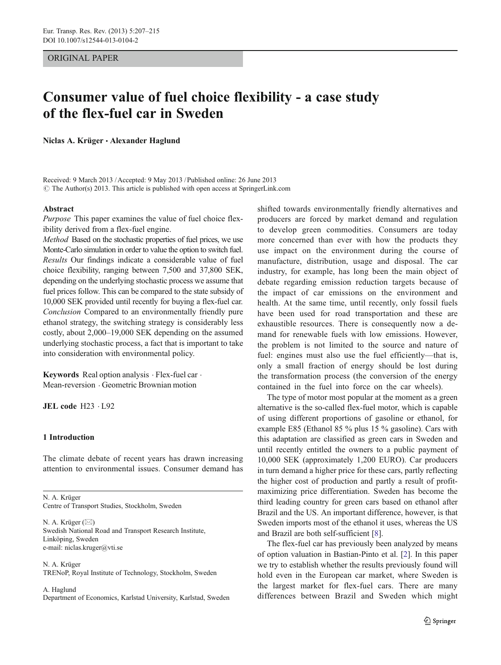# ORIGINAL PAPER

# Consumer value of fuel choice flexibility - a case study of the flex-fuel car in Sweden

Niclas A. Krüger · Alexander Haglund

Received: 9 March 2013 /Accepted: 9 May 2013 / Published online: 26 June 2013  $\odot$  The Author(s) 2013. This article is published with open access at SpringerLink.com

## Abstract

Purpose This paper examines the value of fuel choice flexibility derived from a flex-fuel engine.

Method Based on the stochastic properties of fuel prices, we use Monte-Carlo simulation in order to value the option to switch fuel. Results Our findings indicate a considerable value of fuel choice flexibility, ranging between 7,500 and 37,800 SEK, depending on the underlying stochastic process we assume that fuel prices follow. This can be compared to the state subsidy of 10,000 SEK provided until recently for buying a flex-fuel car. Conclusion Compared to an environmentally friendly pure ethanol strategy, the switching strategy is considerably less costly, about 2,000–19,000 SEK depending on the assumed underlying stochastic process, a fact that is important to take into consideration with environmental policy.

Keywords Real option analysis · Flex-fuel car · Mean-reversion . Geometric Brownian motion

JEL code H23 . L92

## 1 Introduction

The climate debate of recent years has drawn increasing attention to environmental issues. Consumer demand has

N. A. Krüger Centre of Transport Studies, Stockholm, Sweden

N. A. Krüger  $(\boxtimes)$ Swedish National Road and Transport Research Institute, Linköping, Sweden e-mail: niclas.kruger@vti.se

N. A. Krüger TRENoP, Royal Institute of Technology, Stockholm, Sweden

A. Haglund Department of Economics, Karlstad University, Karlstad, Sweden shifted towards environmentally friendly alternatives and producers are forced by market demand and regulation to develop green commodities. Consumers are today more concerned than ever with how the products they use impact on the environment during the course of manufacture, distribution, usage and disposal. The car industry, for example, has long been the main object of debate regarding emission reduction targets because of the impact of car emissions on the environment and health. At the same time, until recently, only fossil fuels have been used for road transportation and these are exhaustible resources. There is consequently now a demand for renewable fuels with low emissions. However, the problem is not limited to the source and nature of fuel: engines must also use the fuel efficiently—that is, only a small fraction of energy should be lost during the transformation process (the conversion of the energy contained in the fuel into force on the car wheels).

The type of motor most popular at the moment as a green alternative is the so-called flex-fuel motor, which is capable of using different proportions of gasoline or ethanol, for example E85 (Ethanol 85 % plus 15 % gasoline). Cars with this adaptation are classified as green cars in Sweden and until recently entitled the owners to a public payment of 10,000 SEK (approximately 1,200 EURO). Car producers in turn demand a higher price for these cars, partly reflecting the higher cost of production and partly a result of profitmaximizing price differentiation. Sweden has become the third leading country for green cars based on ethanol after Brazil and the US. An important difference, however, is that Sweden imports most of the ethanol it uses, whereas the US and Brazil are both self-sufficient [\[8](#page-8-0)].

The flex-fuel car has previously been analyzed by means of option valuation in Bastian-Pinto et al. [[2\]](#page-8-0). In this paper we try to establish whether the results previously found will hold even in the European car market, where Sweden is the largest market for flex-fuel cars. There are many differences between Brazil and Sweden which might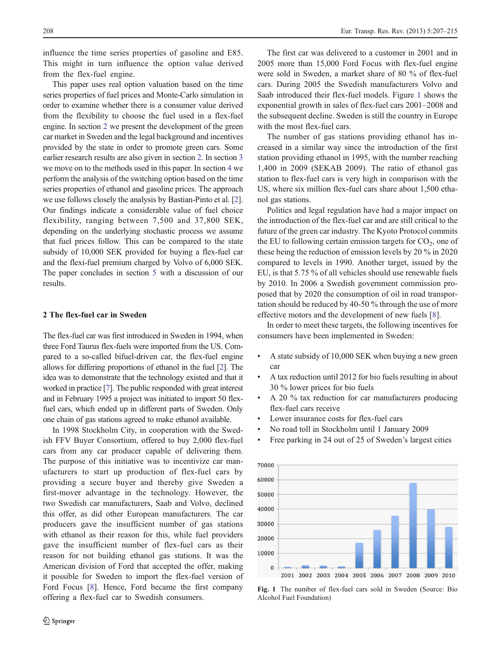influence the time series properties of gasoline and E85. This might in turn influence the option value derived from the flex-fuel engine.

This paper uses real option valuation based on the time series properties of fuel prices and Monte-Carlo simulation in order to examine whether there is a consumer value derived from the flexibility to choose the fuel used in a flex-fuel engine. In section 2 we present the development of the green car market in Sweden and the legal background and incentives provided by the state in order to promote green cars. Some earlier research results are also given in section 2. In section [3](#page-2-0) we move on to the methods used in this paper. In section [4](#page-2-0) we perform the analysis of the switching option based on the time series properties of ethanol and gasoline prices. The approach we use follows closely the analysis by Bastian-Pinto et al. [[2\]](#page-8-0). Our findings indicate a considerable value of fuel choice flexibility, ranging between 7,500 and 37,800 SEK, depending on the underlying stochastic process we assume that fuel prices follow. This can be compared to the state subsidy of 10,000 SEK provided for buying a flex-fuel car and the flexi-fuel premium charged by Volvo of 6,000 SEK. The paper concludes in section [5](#page-7-0) with a discussion of our results.

# 2 The flex-fuel car in Sweden

The flex-fuel car was first introduced in Sweden in 1994, when three Ford Taurus flex-fuels were imported from the US. Compared to a so-called bifuel-driven car, the flex-fuel engine allows for differing proportions of ethanol in the fuel [\[2\]](#page-8-0). The idea was to demonstrate that the technology existed and that it worked in practice [\[7\]](#page-8-0). The public responded with great interest and in February 1995 a project was initiated to import 50 flexfuel cars, which ended up in different parts of Sweden. Only one chain of gas stations agreed to make ethanol available.

In 1998 Stockholm City, in cooperation with the Swedish FFV Buyer Consortium, offered to buy 2,000 flex-fuel cars from any car producer capable of delivering them. The purpose of this initiative was to incentivize car manufacturers to start up production of flex-fuel cars by providing a secure buyer and thereby give Sweden a first-mover advantage in the technology. However, the two Swedish car manufacturers, Saab and Volvo, declined this offer, as did other European manufacturers. The car producers gave the insufficient number of gas stations with ethanol as their reason for this, while fuel providers gave the insufficient number of flex-fuel cars as their reason for not building ethanol gas stations. It was the American division of Ford that accepted the offer, making it possible for Sweden to import the flex-fuel version of Ford Focus [[8\]](#page-8-0). Hence, Ford became the first company offering a flex-fuel car to Swedish consumers.

The first car was delivered to a customer in 2001 and in 2005 more than 15,000 Ford Focus with flex-fuel engine were sold in Sweden, a market share of 80 % of flex-fuel cars. During 2005 the Swedish manufacturers Volvo and Saab introduced their flex-fuel models. Figure 1 shows the exponential growth in sales of flex-fuel cars 2001–2008 and the subsequent decline. Sweden is still the country in Europe with the most flex-fuel cars.

The number of gas stations providing ethanol has increased in a similar way since the introduction of the first station providing ethanol in 1995, with the number reaching 1,400 in 2009 (SEKAB 2009). The ratio of ethanol gas station to flex-fuel cars is very high in comparison with the US, where six million flex-fuel cars share about 1,500 ethanol gas stations.

Politics and legal regulation have had a major impact on the introduction of the flex-fuel car and are still critical to the future of the green car industry. The Kyoto Protocol commits the EU to following certain emission targets for  $CO<sub>2</sub>$ , one of these being the reduction of emission levels by 20 % in 2020 compared to levels in 1990. Another target, issued by the EU, is that 5.75 % of all vehicles should use renewable fuels by 2010. In 2006 a Swedish government commission proposed that by 2020 the consumption of oil in road transportation should be reduced by 40-50 % through the use of more effective motors and the development of new fuels [[8\]](#page-8-0).

In order to meet these targets, the following incentives for consumers have been implemented in Sweden:

- & A state subsidy of 10,000 SEK when buying a new green car
- & A tax reduction until 2012 for bio fuels resulting in about 30 % lower prices for bio fuels
- & A 20 % tax reduction for car manufacturers producing flex-fuel cars receive
- Lower insurance costs for flex-fuel cars
- & No road toll in Stockholm until 1 January 2009
- Free parking in 24 out of 25 of Sweden's largest cities



Fig. 1 The number of flex-fuel cars sold in Sweden (Source: Bio Alcohol Fuel Foundation)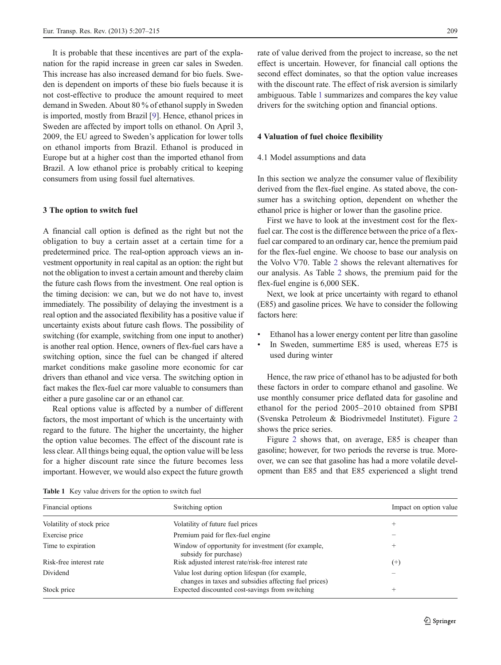<span id="page-2-0"></span>It is probable that these incentives are part of the explanation for the rapid increase in green car sales in Sweden. This increase has also increased demand for bio fuels. Sweden is dependent on imports of these bio fuels because it is not cost-effective to produce the amount required to meet demand in Sweden. About 80 % of ethanol supply in Sweden is imported, mostly from Brazil [[9\]](#page-8-0). Hence, ethanol prices in Sweden are affected by import tolls on ethanol. On April 3, 2009, the EU agreed to Sweden's application for lower tolls on ethanol imports from Brazil. Ethanol is produced in Europe but at a higher cost than the imported ethanol from Brazil. A low ethanol price is probably critical to keeping consumers from using fossil fuel alternatives.

# 3 The option to switch fuel

A financial call option is defined as the right but not the obligation to buy a certain asset at a certain time for a predetermined price. The real-option approach views an investment opportunity in real capital as an option: the right but not the obligation to invest a certain amount and thereby claim the future cash flows from the investment. One real option is the timing decision: we can, but we do not have to, invest immediately. The possibility of delaying the investment is a real option and the associated flexibility has a positive value if uncertainty exists about future cash flows. The possibility of switching (for example, switching from one input to another) is another real option. Hence, owners of flex-fuel cars have a switching option, since the fuel can be changed if altered market conditions make gasoline more economic for car drivers than ethanol and vice versa. The switching option in fact makes the flex-fuel car more valuable to consumers than either a pure gasoline car or an ethanol car.

Real options value is affected by a number of different factors, the most important of which is the uncertainty with regard to the future. The higher the uncertainty, the higher the option value becomes. The effect of the discount rate is less clear. All things being equal, the option value will be less for a higher discount rate since the future becomes less important. However, we would also expect the future growth rate of value derived from the project to increase, so the net effect is uncertain. However, for financial call options the second effect dominates, so that the option value increases with the discount rate. The effect of risk aversion is similarly ambiguous. Table 1 summarizes and compares the key value drivers for the switching option and financial options.

#### 4 Valuation of fuel choice flexibility

#### 4.1 Model assumptions and data

In this section we analyze the consumer value of flexibility derived from the flex-fuel engine. As stated above, the consumer has a switching option, dependent on whether the ethanol price is higher or lower than the gasoline price.

First we have to look at the investment cost for the flexfuel car. The cost is the difference between the price of a flexfuel car compared to an ordinary car, hence the premium paid for the flex-fuel engine. We choose to base our analysis on the Volvo V70. Table [2](#page-3-0) shows the relevant alternatives for our analysis. As Table [2](#page-3-0) shows, the premium paid for the flex-fuel engine is 6,000 SEK.

Next, we look at price uncertainty with regard to ethanol (E85) and gasoline prices. We have to consider the following factors here:

- Ethanol has a lower energy content per litre than gasoline
- In Sweden, summertime E85 is used, whereas E75 is used during winter

Hence, the raw price of ethanol has to be adjusted for both these factors in order to compare ethanol and gasoline. We use monthly consumer price deflated data for gasoline and ethanol for the period 2005–2010 obtained from SPBI (Svenska Petroleum & Biodrivmedel Institutet). Figure [2](#page-4-0) shows the price series.

Figure [2](#page-4-0) shows that, on average, E85 is cheaper than gasoline; however, for two periods the reverse is true. Moreover, we can see that gasoline has had a more volatile development than E85 and that E85 experienced a slight trend

Table 1 Key value drivers for the option to switch fuel

| Financial options         | Switching option                                                                                         | Impact on option value |
|---------------------------|----------------------------------------------------------------------------------------------------------|------------------------|
| Volatility of stock price | Volatility of future fuel prices                                                                         | $^+$                   |
| Exercise price            | Premium paid for flex-fuel engine                                                                        |                        |
| Time to expiration        | Window of opportunity for investment (for example,<br>subsidy for purchase)                              |                        |
| Risk-free interest rate   | Risk adjusted interest rate/risk-free interest rate                                                      | $^{(+)}$               |
| Dividend                  | Value lost during option lifespan (for example,<br>changes in taxes and subsidies affecting fuel prices) |                        |
| Stock price               | Expected discounted cost-savings from switching                                                          | $^+$                   |
|                           |                                                                                                          |                        |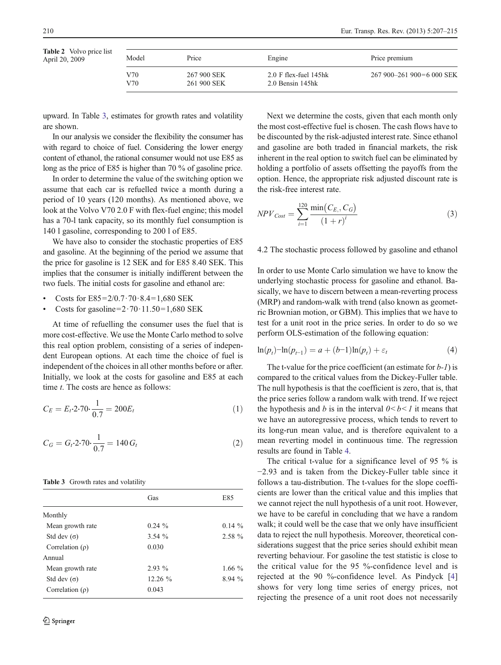<span id="page-3-0"></span>

| <b>Table 2</b> Volvo price list<br>April 20, 2009 | Model      | Price                      | Engine                                        | Price premium             |
|---------------------------------------------------|------------|----------------------------|-----------------------------------------------|---------------------------|
|                                                   | V70<br>V70 | 267 900 SEK<br>261 900 SEK | $2.0$ F flex-fuel 145hk<br>$2.0$ Bensin 145hk | 267 900-261 900=6 000 SEK |

upward. In Table 3, estimates for growth rates and volatility are shown.

In our analysis we consider the flexibility the consumer has with regard to choice of fuel. Considering the lower energy content of ethanol, the rational consumer would not use E85 as long as the price of E85 is higher than 70 % of gasoline price.

In order to determine the value of the switching option we assume that each car is refuelled twice a month during a period of 10 years (120 months). As mentioned above, we look at the Volvo V70 2.0 F with flex-fuel engine; this model has a 70-l tank capacity, so its monthly fuel consumption is 140 l gasoline, corresponding to 200 l of E85.

We have also to consider the stochastic properties of E85 and gasoline. At the beginning of the period we assume that the price for gasoline is 12 SEK and for E85 8.40 SEK. This implies that the consumer is initially indifferent between the two fuels. The initial costs for gasoline and ethanol are:

- Costs for E85= $2/0.7 \cdot 70 \cdot 8.4 = 1,680$  SEK
- Costs for gasoline= $2.70 \cdot 11.50 = 1,680$  SEK

At time of refuelling the consumer uses the fuel that is more cost-effective. We use the Monte Carlo method to solve this real option problem, consisting of a series of independent European options. At each time the choice of fuel is independent of the choices in all other months before or after. Initially, we look at the costs for gasoline and E85 at each time *t*. The costs are hence as follows:

$$
C_E = E_t \cdot 2 \cdot 70 \cdot \frac{1}{0.7} = 200 E_t \tag{1}
$$

$$
C_G = G_t \cdot 2 \cdot 70 \cdot \frac{1}{0.7} = 140 \, G_t \tag{2}
$$

Table 3 Growth rates and volatility

|                      | Gas       | E85       |
|----------------------|-----------|-----------|
| Monthly              |           |           |
| Mean growth rate     | $0.24 \%$ | $0.14\%$  |
| Std dev $(\sigma)$   | 3.54%     | $2.58\%$  |
| Correlation $(\rho)$ | 0.030     |           |
| Annual               |           |           |
| Mean growth rate     | $2.93\%$  | 1.66 $\%$ |
| Std dev $(\sigma)$   | $12.26\%$ | 8.94%     |
| Correlation $(\rho)$ | 0.043     |           |

Next we determine the costs, given that each month only the most cost-effective fuel is chosen. The cash flows have to be discounted by the risk-adjusted interest rate. Since ethanol and gasoline are both traded in financial markets, the risk inherent in the real option to switch fuel can be eliminated by holding a portfolio of assets offsetting the payoffs from the option. Hence, the appropriate risk adjusted discount rate is the risk-free interest rate.

$$
NPV_{Cost} = \sum_{i=1}^{120} \frac{\min(C_{E_i}, C_G)}{(1+r)^i}
$$
 (3)

#### 4.2 The stochastic process followed by gasoline and ethanol

In order to use Monte Carlo simulation we have to know the underlying stochastic process for gasoline and ethanol. Basically, we have to discern between a mean-reverting process (MRP) and random-walk with trend (also known as geometric Brownian motion, or GBM). This implies that we have to test for a unit root in the price series. In order to do so we perform OLS-estimation of the following equation:

$$
\ln(p_t) - \ln(p_{t-1}) = a + (b-1)\ln(p_t) + \varepsilon_t \tag{4}
$$

The t-value for the price coefficient (an estimate for  $b-1$ ) is compared to the critical values from the Dickey-Fuller table. The null hypothesis is that the coefficient is zero, that is, that the price series follow a random walk with trend. If we reject the hypothesis and b is in the interval  $0 < b < 1$  it means that we have an autoregressive process, which tends to revert to its long-run mean value, and is therefore equivalent to a mean reverting model in continuous time. The regression results are found in Table [4.](#page-4-0)

The critical t-value for a significance level of 95 % is −2.93 and is taken from the Dickey-Fuller table since it follows a tau-distribution. The t-values for the slope coefficients are lower than the critical value and this implies that we cannot reject the null hypothesis of a unit root. However, we have to be careful in concluding that we have a random walk; it could well be the case that we only have insufficient data to reject the null hypothesis. Moreover, theoretical considerations suggest that the price series should exhibit mean reverting behaviour. For gasoline the test statistic is close to the critical value for the 95 %-confidence level and is rejected at the 90 %-confidence level. As Pindyck [[4](#page-8-0)] shows for very long time series of energy prices, not rejecting the presence of a unit root does not necessarily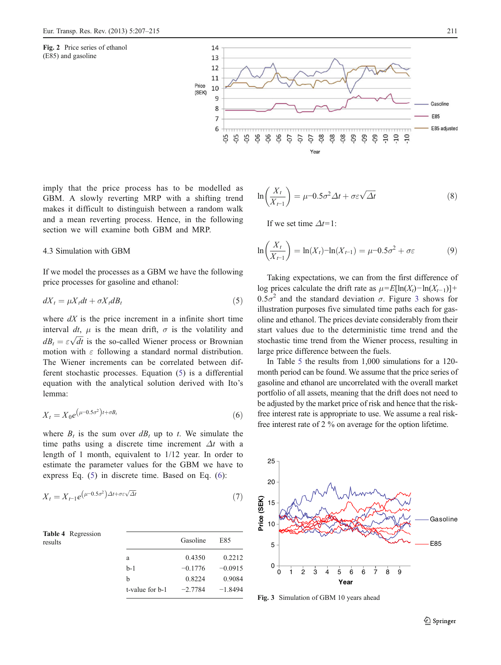<span id="page-4-0"></span>Fig. 2 Price series of ethanol

(E85) and gasoline



imply that the price process has to be modelled as GBM. A slowly reverting MRP with a shifting trend makes it difficult to distinguish between a random walk and a mean reverting process. Hence, in the following section we will examine both GBM and MRP.

## 4.3 Simulation with GBM

If we model the processes as a GBM we have the following price processes for gasoline and ethanol:

$$
dX_t = \mu X_t dt + \sigma X_t dB_t \tag{5}
$$

where  $dX$  is the price increment in a infinite short time interval dt,  $\mu$  is the mean drift,  $\sigma$  is the volatility and  $dB_t = \varepsilon \sqrt{dt}$  is the so-called Wiener process or Brownian motion with  $\varepsilon$  following a standard normal distribution. The Wiener increments can be correlated between different stochastic processes. Equation (5) is a differential equation with the analytical solution derived with Ito's lemma:

$$
X_t = X_0 e^{(\mu - 0.5\sigma^2)t + \sigma B_t}
$$
\n(6)

where  $B_t$  is the sum over  $dB_t$  up to t. We simulate the time paths using a discrete time increment  $\Delta t$  with a length of 1 month, equivalent to 1/12 year. In order to estimate the parameter values for the GBM we have to express Eq. (5) in discrete time. Based on Eq. (6):

$$
X_t = X_{t-1} e^{\left(\mu - 0.5\sigma^2\right)\Delta t + \sigma \varepsilon \sqrt{\Delta t}} \tag{7}
$$

| Table 4 Regression<br>results |                 | Gasoline  | E85       |
|-------------------------------|-----------------|-----------|-----------|
|                               | a               | 0.4350    | 0.2212    |
|                               | $b-1$           | $-0.1776$ | $-0.0915$ |
|                               | b               | 0.8224    | 0.9084    |
|                               | t-value for b-1 | $-2.7784$ | $-1.8494$ |
|                               |                 |           |           |

$$
\ln\left(\frac{X_t}{X_{t-1}}\right) = \mu - 0.5\sigma^2 \Delta t + \sigma \varepsilon \sqrt{\Delta t}
$$
\n(8)

If we set time  $\Delta t = 1$ :

$$
\ln\left(\frac{X_t}{X_{t-1}}\right) = \ln(X_t) - \ln(X_{t-1}) = \mu - 0.5\sigma^2 + \sigma\varepsilon
$$
\n(9)

Taking expectations, we can from the first difference of log prices calculate the drift rate as  $\mu = E[\ln(X_t) - \ln(X_{t-1})]$ +  $0.5\sigma^2$  and the standard deviation  $\sigma$ . Figure 3 shows for illustration purposes five simulated time paths each for gasoline and ethanol. The prices deviate considerably from their start values due to the deterministic time trend and the stochastic time trend from the Wiener process, resulting in large price difference between the fuels.

In Table [5](#page-5-0) the results from 1,000 simulations for a 120 month period can be found. We assume that the price series of gasoline and ethanol are uncorrelated with the overall market portfolio of all assets, meaning that the drift does not need to be adjusted by the market price of risk and hence that the riskfree interest rate is appropriate to use. We assume a real riskfree interest rate of 2 % on average for the option lifetime.



Fig. 3 Simulation of GBM 10 years ahead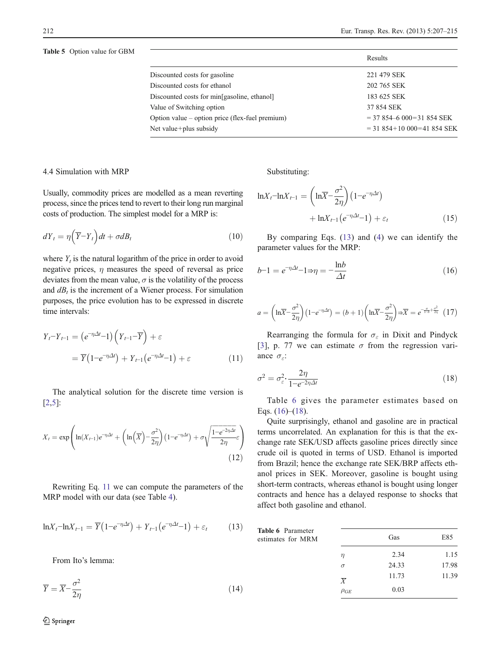## <span id="page-5-0"></span>Table 5 Option value for GBM

|                                                 | Results                          |
|-------------------------------------------------|----------------------------------|
| Discounted costs for gasoline                   | 221 479 SEK                      |
| Discounted costs for ethanol                    | 202 765 SEK                      |
| Discounted costs for min[gasoline, ethanol]     | 183 625 SEK                      |
| Value of Switching option                       | 37 854 SEK                       |
| Option value – option price (flex-fuel premium) | $=$ 37 854–6 000=31 854 SEK      |
| Net value $+$ plus subsidy                      | $=$ 31 854 + 10 000 = 41 854 SEK |

## 4.4 Simulation with MRP

Usually, commodity prices are modelled as a mean reverting process, since the prices tend to revert to their long run marginal costs of production. The simplest model for a MRP is:

$$
dY_t = \eta \left(\overline{Y} - Y_t\right) dt + \sigma dB_t \tag{10}
$$

where  $Y_t$  is the natural logarithm of the price in order to avoid negative prices,  $\eta$  measures the speed of reversal as price deviates from the mean value,  $\sigma$  is the volatility of the process and  $dB_t$  is the increment of a Wiener process. For simulation purposes, the price evolution has to be expressed in discrete time intervals:

$$
Y_t - Y_{t-1} = (e^{-\eta \Delta t} - 1) \left( Y_{t-1} - \overline{Y} \right) + \varepsilon
$$
  
=  $\overline{Y} (1 - e^{-\eta \Delta t}) + Y_{t-1} (e^{-\eta \Delta t} - 1) + \varepsilon$  (11)

The analytical solution for the discrete time version is [\[2](#page-8-0),[5\]](#page-8-0):

$$
X_t = \exp\left(\ln(X_{t-1})e^{-\eta \Delta t} + \left(\ln\left(\overline{X}\right) - \frac{\sigma^2}{2\eta}\right)(1 - e^{-\eta \Delta t}) + \sigma\sqrt{\frac{1 - e^{-2\eta \Delta t}}{2\eta}}\varepsilon\right)
$$
\n(12)

Rewriting Eq. 11 we can compute the parameters of the MRP model with our data (see Table [4](#page-4-0)).

$$
\ln X_t - \ln X_{t-1} = \overline{Y} \left( 1 - e^{-\eta \Delta t} \right) + Y_{t-1} \left( e^{-\eta \Delta t} - 1 \right) + \varepsilon_t \tag{13}
$$

From Ito's lemma:

$$
\overline{Y} = \overline{X} - \frac{\sigma^2}{2\eta} \tag{14}
$$

Substituting:

Tabl

$$
\ln X_t - \ln X_{t-1} = \left(\ln \overline{X} - \frac{\sigma^2}{2\eta}\right) \left(1 - e^{-\eta \Delta t}\right) + \ln X_{t-1} \left(e^{-\eta \Delta t} - 1\right) + \varepsilon_t \tag{15}
$$

By comparing Eqs. (13) and ([4](#page-3-0)) we can identify the parameter values for the MRP:

$$
b-1 = e^{-\eta \Delta t} - 1 \Rightarrow \eta = -\frac{\ln b}{\Delta t}
$$
\n(16)

$$
a = \left(\ln \overline{X} - \frac{\sigma^2}{2\eta}\right) \left(1 - e^{-\eta \Delta t}\right) = (b+1) \left(\ln \overline{X} - \frac{\sigma^2}{2\eta}\right) \Rightarrow \overline{X} = e^{-\frac{a}{1-b} + \frac{\sigma^2}{2\eta}} \tag{17}
$$

Rearranging the formula for  $\sigma_{\varepsilon}$  in Dixit and Pindyck [\[3\]](#page-8-0), p. 77 we can estimate  $\sigma$  from the regression variance  $\sigma_{\varepsilon}$ :

$$
\sigma^2 = \sigma_{\varepsilon}^2 \cdot \frac{2\eta}{1 - e^{-2\eta \Delta t}}\tag{18}
$$

Table 6 gives the parameter estimates based on Eqs.  $(16)$ – $(18)$ .

Quite surprisingly, ethanol and gasoline are in practical terms uncorrelated. An explanation for this is that the exchange rate SEK/USD affects gasoline prices directly since crude oil is quoted in terms of USD. Ethanol is imported from Brazil; hence the exchange rate SEK/BRP affects ethanol prices in SEK. Moreover, gasoline is bought using short-term contracts, whereas ethanol is bought using longer contracts and hence has a delayed response to shocks that affect both gasoline and ethanol.

| <b>Table 6</b> Parameter<br>estimates for MRM |                | Gas   | E85   |
|-----------------------------------------------|----------------|-------|-------|
|                                               | η              | 2.34  | 1.15  |
|                                               | $\sigma$       | 24.33 | 17.98 |
|                                               | $\overline{X}$ | 11.73 | 11.39 |
|                                               | $\rho_{GE}$    | 0.03  |       |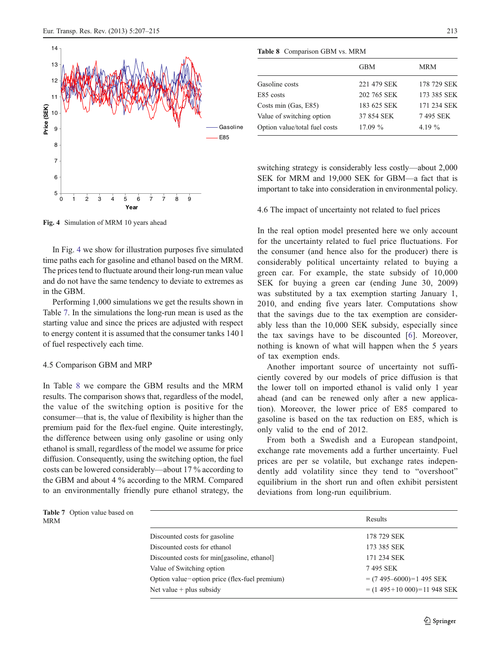

Fig. 4 Simulation of MRM 10 years ahead

In Fig. 4 we show for illustration purposes five simulated time paths each for gasoline and ethanol based on the MRM. The prices tend to fluctuate around their long-run mean value and do not have the same tendency to deviate to extremes as in the GBM.

Performing 1,000 simulations we get the results shown in Table 7. In the simulations the long-run mean is used as the starting value and since the prices are adjusted with respect to energy content it is assumed that the consumer tanks 140 l of fuel respectively each time.

#### 4.5 Comparison GBM and MRP

Table 7

In Table 8 we compare the GBM results and the MRM results. The comparison shows that, regardless of the model, the value of the switching option is positive for the consumer—that is, the value of flexibility is higher than the premium paid for the flex-fuel engine. Quite interestingly, the difference between using only gasoline or using only ethanol is small, regardless of the model we assume for price diffusion. Consequently, using the switching option, the fuel costs can be lowered considerably—about 17 % according to the GBM and about 4 % according to the MRM. Compared to an environmentally friendly pure ethanol strategy, the Table 8 Comparison GBM vs. MRM

|                               | GBM         | MRM         |
|-------------------------------|-------------|-------------|
| Gasoline costs                | 221 479 SEK | 178 729 SEK |
| E85 costs                     | 202 765 SEK | 173 385 SEK |
| Costs min $(Gas, E85)$        | 183 625 SEK | 171 234 SEK |
| Value of switching option     | 37 854 SEK  | 7495 SEK    |
| Option value/total fuel costs | 17.09 %     | 4.19 $%$    |

switching strategy is considerably less costly—about 2,000 SEK for MRM and 19,000 SEK for GBM—a fact that is important to take into consideration in environmental policy.

4.6 The impact of uncertainty not related to fuel prices

In the real option model presented here we only account for the uncertainty related to fuel price fluctuations. For the consumer (and hence also for the producer) there is considerably political uncertainty related to buying a green car. For example, the state subsidy of 10,000 SEK for buying a green car (ending June 30, 2009) was substituted by a tax exemption starting January 1, 2010, and ending five years later. Computations show that the savings due to the tax exemption are considerably less than the 10,000 SEK subsidy, especially since the tax savings have to be discounted [[6\]](#page-8-0). Moreover, nothing is known of what will happen when the 5 years of tax exemption ends.

Another important source of uncertainty not sufficiently covered by our models of price diffusion is that the lower toll on imported ethanol is valid only 1 year ahead (and can be renewed only after a new application). Moreover, the lower price of E85 compared to gasoline is based on the tax reduction on E85, which is only valid to the end of 2012.

From both a Swedish and a European standpoint, exchange rate movements add a further uncertainty. Fuel prices are per se volatile, but exchange rates independently add volatility since they tend to "overshoot" equilibrium in the short run and often exhibit persistent deviations from long-run equilibrium.

| Table 7 Option value based on<br>MRM |                                               | Results                           |
|--------------------------------------|-----------------------------------------------|-----------------------------------|
|                                      | Discounted costs for gasoline                 | 178 729 SEK                       |
|                                      | Discounted costs for ethanol                  | 173 385 SEK                       |
|                                      | Discounted costs for min[gasoline, ethanol]   | 171 234 SEK                       |
|                                      | Value of Switching option                     | 7495 SEK                          |
|                                      | Option value-option price (flex-fuel premium) | $=$ (7 495–6000)=1 495 SEK        |
|                                      | Net value $+$ plus subsidy                    | $=$ (1 495 + 10 000) = 11 948 SEK |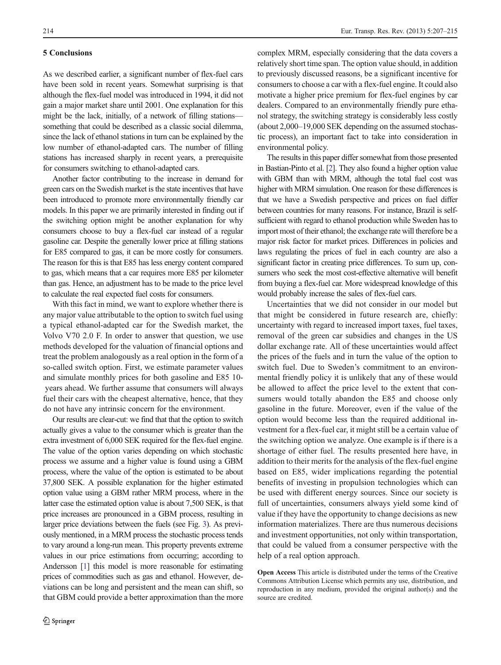#### <span id="page-7-0"></span>5 Conclusions

As we described earlier, a significant number of flex-fuel cars have been sold in recent years. Somewhat surprising is that although the flex-fuel model was introduced in 1994, it did not gain a major market share until 2001. One explanation for this might be the lack, initially, of a network of filling stations something that could be described as a classic social dilemma, since the lack of ethanol stations in turn can be explained by the low number of ethanol-adapted cars. The number of filling stations has increased sharply in recent years, a prerequisite for consumers switching to ethanol-adapted cars.

Another factor contributing to the increase in demand for green cars on the Swedish market is the state incentives that have been introduced to promote more environmentally friendly car models. In this paper we are primarily interested in finding out if the switching option might be another explanation for why consumers choose to buy a flex-fuel car instead of a regular gasoline car. Despite the generally lower price at filling stations for E85 compared to gas, it can be more costly for consumers. The reason for this is that E85 has less energy content compared to gas, which means that a car requires more E85 per kilometer than gas. Hence, an adjustment has to be made to the price level to calculate the real expected fuel costs for consumers.

With this fact in mind, we want to explore whether there is any major value attributable to the option to switch fuel using a typical ethanol-adapted car for the Swedish market, the Volvo V70 2.0 F. In order to answer that question, we use methods developed for the valuation of financial options and treat the problem analogously as a real option in the form of a so-called switch option. First, we estimate parameter values and simulate monthly prices for both gasoline and E85 10 years ahead. We further assume that consumers will always fuel their cars with the cheapest alternative, hence, that they do not have any intrinsic concern for the environment.

Our results are clear-cut: we find that that the option to switch actually gives a value to the consumer which is greater than the extra investment of 6,000 SEK required for the flex-fuel engine. The value of the option varies depending on which stochastic process we assume and a higher value is found using a GBM process, where the value of the option is estimated to be about 37,800 SEK. A possible explanation for the higher estimated option value using a GBM rather MRM process, where in the latter case the estimated option value is about 7,500 SEK, is that price increases are pronounced in a GBM process, resulting in larger price deviations between the fuels (see Fig. [3\)](#page-4-0). As previously mentioned, in a MRM process the stochastic process tends to vary around a long-run mean. This property prevents extreme values in our price estimations from occurring; according to Andersson [\[1\]](#page-8-0) this model is more reasonable for estimating prices of commodities such as gas and ethanol. However, deviations can be long and persistent and the mean can shift, so that GBM could provide a better approximation than the more complex MRM, especially considering that the data covers a relatively short time span. The option value should, in addition to previously discussed reasons, be a significant incentive for consumers to choose a car with a flex-fuel engine. It could also motivate a higher price premium for flex-fuel engines by car dealers. Compared to an environmentally friendly pure ethanol strategy, the switching strategy is considerably less costly (about 2,000–19,000 SEK depending on the assumed stochastic process), an important fact to take into consideration in environmental policy.

The results in this paper differ somewhat from those presented in Bastian-Pinto et al. [\[2](#page-8-0)]. They also found a higher option value with GBM than with MRM, although the total fuel cost was higher with MRM simulation. One reason for these differences is that we have a Swedish perspective and prices on fuel differ between countries for many reasons. For instance, Brazil is selfsufficient with regard to ethanol production while Sweden has to import most of their ethanol; the exchange rate will therefore be a major risk factor for market prices. Differences in policies and laws regulating the prices of fuel in each country are also a significant factor in creating price differences. To sum up, consumers who seek the most cost-effective alternative will benefit from buying a flex-fuel car. More widespread knowledge of this would probably increase the sales of flex-fuel cars.

Uncertainties that we did not consider in our model but that might be considered in future research are, chiefly: uncertainty with regard to increased import taxes, fuel taxes, removal of the green car subsidies and changes in the US dollar exchange rate. All of these uncertainties would affect the prices of the fuels and in turn the value of the option to switch fuel. Due to Sweden's commitment to an environmental friendly policy it is unlikely that any of these would be allowed to affect the price level to the extent that consumers would totally abandon the E85 and choose only gasoline in the future. Moreover, even if the value of the option would become less than the required additional investment for a flex-fuel car, it might still be a certain value of the switching option we analyze. One example is if there is a shortage of either fuel. The results presented here have, in addition to their merits for the analysis of the flex-fuel engine based on E85, wider implications regarding the potential benefits of investing in propulsion technologies which can be used with different energy sources. Since our society is full of uncertainties, consumers always yield some kind of value if they have the opportunity to change decisions as new information materializes. There are thus numerous decisions and investment opportunities, not only within transportation, that could be valued from a consumer perspective with the help of a real option approach.

Open Access This article is distributed under the terms of the Creative Commons Attribution License which permits any use, distribution, and reproduction in any medium, provided the original author(s) and the source are credited.